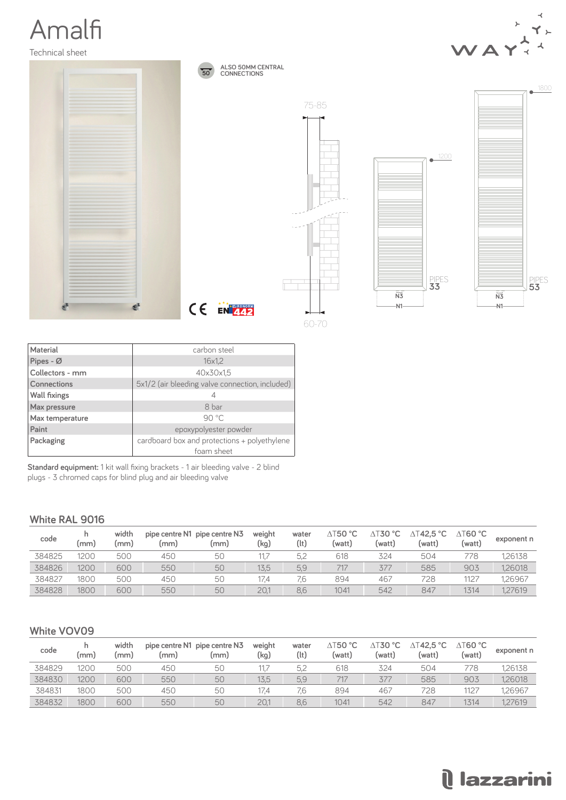# Amalfi

Technical sheet



| Material            | carbon steel                                    |  |  |  |  |  |
|---------------------|-------------------------------------------------|--|--|--|--|--|
| Pipes - Ø           | 16x1.2                                          |  |  |  |  |  |
| Collectors - mm     | 40x30x1,5                                       |  |  |  |  |  |
| <b>Connections</b>  | 5x1/2 (air bleeding valve connection, included) |  |  |  |  |  |
| <b>Wall fixings</b> |                                                 |  |  |  |  |  |
| Max pressure        | 8 bar                                           |  |  |  |  |  |
| Max temperature     | $90^{\circ}$ C                                  |  |  |  |  |  |
| Paint               | epoxypolyester powder                           |  |  |  |  |  |
| Packaging           | cardboard box and protections + polyethylene    |  |  |  |  |  |
|                     | foam sheet                                      |  |  |  |  |  |

**Standard equipment:** 1 kit wall fixing brackets - 1 air bleeding valve - 2 blind plugs - 3 chromed caps for blind plug and air bleeding valve

#### **White RAL 9016**

| code   | (mm) | width<br>(mm) | (mm) | pipe centre N1 pipe centre N3<br>(mm) | weight<br>(kg) | water<br>(lt) | $\triangle$ T50 $\degree$ C<br>(watt) | ∆T30 °C<br>(watt) | ∆⊺42,5 °C<br>(watt) | $\triangle$ T60 °C<br>(watt) | exponent n |
|--------|------|---------------|------|---------------------------------------|----------------|---------------|---------------------------------------|-------------------|---------------------|------------------------------|------------|
| 384825 | 200  | 500           | 450  | 50                                    |                | 5,2           | 618                                   | 324               | 504                 | 778.                         | 1,26138    |
| 384826 | 1200 | 600           | 550  | 50                                    | 13.5           | 5,9           | 717                                   | 377               | 585                 | 903                          | 1,26018    |
| 384827 | 1800 | 500           | 450  | 50                                    | 17.4           | 7.6           | 894                                   | 467               | 728                 | 1127                         | 1.26967    |
| 384828 | 1800 | 600           | 550  | 50                                    | 20.            | 8,6           | 1041                                  | 542               | 847                 | 1314                         | 1.27619    |

#### **White VOV09**

| code   | (mm) | width<br>(mm) | (mm) | pipe centre N1 pipe centre N3<br>(mm) | weight<br>(kg) | water<br>(lt) | $\triangle$ T50 $^{\circ}$ C<br>(watt) | ∆T30 °C<br>(watt) | 「42,5 °C<br>Δ<br>(watt) | $\triangle$ T60 $^{\circ}$ C<br>(watt) | exponent n |
|--------|------|---------------|------|---------------------------------------|----------------|---------------|----------------------------------------|-------------------|-------------------------|----------------------------------------|------------|
| 384829 | '200 | 500           | 450  | 50                                    |                | 5.2           | 618                                    | 324               | 504                     | 778                                    | 1,26138    |
| 384830 | 1200 | 600           | 550  | 50                                    | 13,5           | 5,9           | 717                                    | 377               | 585                     | 903                                    | 1,26018    |
| 384831 | 1800 | 500           | 450  | 50                                    | 17.4           | 7.6           | 894                                    | 467               | 728                     | 1127                                   | .26967     |
| 384832 | 1800 | 600           | 550  | 50                                    | 20.1           | 8.6           | 1041                                   | 542               | 847                     | 1314                                   | 1.27619    |